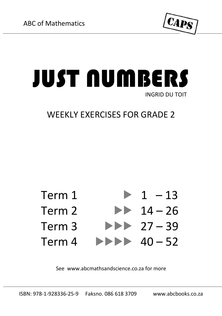

## JUST NUMBERS INGRID DU TOIT

## WEEKLY EXERCISES FOR GRADE 2



See www.abcmathsandscience.co.za for more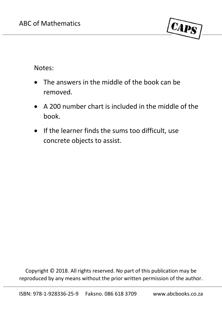

Notes:

- The answers in the middle of the book can be removed.
- $\bullet$  A 200 number chart is included in the middle of the book.
- If the learner finds the sums too difficult, use concrete objects to assist.

Copyright © 2018. All rights reserved. No part of this publication may be reproduced by any means without the prior written permission of the author.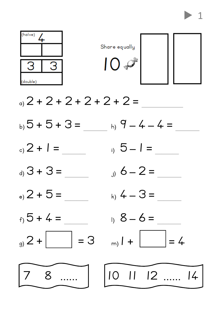

- a)  $2 + 2 + 2 + 2 + 2 + 2 =$
- $_{{\sf{b}}_1}$ 5 + 5 + 3 =  $h \cdot 9 - 4 - 4 =$
- $, 5 1 =$  $_{{}_{c}}$  2 + 1 =
- $= 5 + 3$  $6 - 2 =$
- $_{e}$  2 + 5 =  $k_0$  4 - 3 =
- $f_1$  5 + 4 =
- $_9$  2 +  $\Big|$  = 3
- $1) 8-6=$

$$
_{\rm m}) I + \boxed{\phantom{000000}} = 4
$$



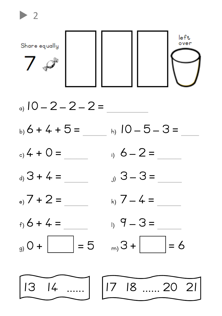

 $\blacktriangleright$  2

a)  $10 - 2 - 2 - 2 =$  $_{{\sf b}}$ , 6 + 4 + 5 =  $h)$  10 - 5 - 3 =  $_0$  4 + 0 = i)  $6 - 2 =$  $_4$  3 + 4 =  $3 - 3 =$  $_{\circ}$ , 7 + 2 =  $_{k_1}$  7 - 4 =  $f_1$  6 + 4 =  $_1$ , 9 - 3 =  $\vert + 0 \vert_{\rm eq}$  $\ket{+ \mathcal{S}_{(m)}}$  $= 5$  $= 6$ 

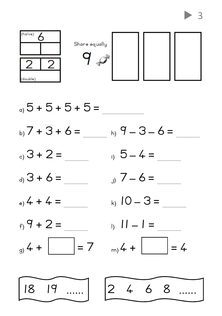



-3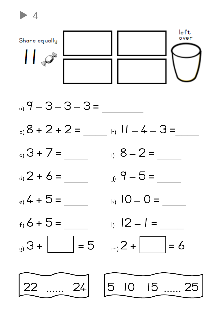

 $_9$  9 - 3 - 3 - 3 =

 $\blacktriangleright$  4

- $h)$   $11 4 3 =$ b)  $8 + 2 + 2 =$
- $_3$  3 + 7 = i)  $8 - 2 =$
- $_4$  2 + 6 =  $9 - 5 =$
- $_{\circ}$  4 + 5 = k)  $IO = O =$
- $f(x)$  6 + 5 =
- $|\cdot \mathcal{E}_{(p)}\rangle$  $\vert$  = 5
- $12 1 =$

$$
_{m}2+\boxed{ }=6
$$



5 10 15 ..... 25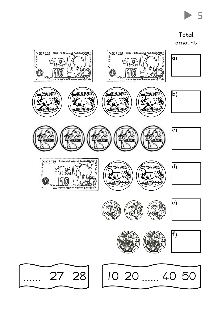

Total amount